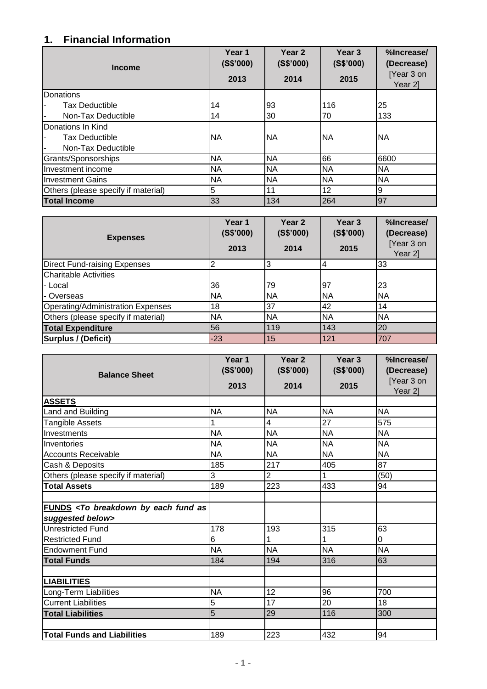## **1. Financial Information**

| <b>Income</b>                       | Year <sub>1</sub><br>(S\$'000)<br>2013 | Year <sub>2</sub><br>(S\$'000)<br>2014 | Year <sub>3</sub><br>(S\$'000)<br>2015 | %Increase/<br>(Decrease)<br>[Year 3 on<br>Year 2] |
|-------------------------------------|----------------------------------------|----------------------------------------|----------------------------------------|---------------------------------------------------|
| Donations                           |                                        |                                        |                                        |                                                   |
| <b>Tax Deductible</b>               | 14                                     | 93                                     | 116                                    | 25                                                |
| Non-Tax Deductible                  | 14                                     | 30                                     | 70                                     | 133                                               |
| Donations In Kind                   |                                        |                                        |                                        |                                                   |
| <b>Tax Deductible</b>               | <b>NA</b>                              | <b>NA</b>                              | <b>NA</b>                              | <b>INA</b>                                        |
| Non-Tax Deductible                  |                                        |                                        |                                        |                                                   |
| Grants/Sponsorships                 | <b>NA</b>                              | <b>NA</b>                              | 66                                     | 6600                                              |
| Investment income                   | <b>NA</b>                              | <b>NA</b>                              | <b>NA</b>                              | <b>NA</b>                                         |
| <b>Investment Gains</b>             | <b>NA</b>                              | <b>NA</b>                              | <b>NA</b>                              | <b>NA</b>                                         |
| Others (please specify if material) | 5                                      | 11                                     | 12                                     | 9                                                 |
| <b>Total Income</b>                 | 33                                     | 134                                    | 264                                    | 97                                                |

| <b>Expenses</b>                     | Year 1<br>(S\$'000)<br>2013 | Year <sub>2</sub><br>(S\$'000)<br>2014 | Year <sub>3</sub><br>(S\$'000)<br>2015 | %Increase/<br>(Decrease)<br>[Year 3 on<br>Year 2] |
|-------------------------------------|-----------------------------|----------------------------------------|----------------------------------------|---------------------------------------------------|
| <b>Direct Fund-raising Expenses</b> | 2                           | 3                                      |                                        | 33                                                |
| <b>Charitable Activities</b>        |                             |                                        |                                        |                                                   |
| l- Local                            | 36                          | 79                                     | 97                                     | 23                                                |
| I- Overseas                         | <b>NA</b>                   | NA                                     | NA                                     | <b>NA</b>                                         |
| Operating/Administration Expenses   | 18                          | 37                                     | 42                                     | 14                                                |
| Others (please specify if material) | <b>NA</b>                   | <b>NA</b>                              | NA                                     | <b>NA</b>                                         |
| <b>Total Expenditure</b>            | 56                          | 119                                    | 143                                    | 20                                                |
| <b>Surplus / (Deficit)</b>          | $-23$                       | 15                                     | 121                                    | 707                                               |

| <b>Balance Sheet</b>                                                           | Year 1<br>(S\$'000)<br>2013 | Year <sub>2</sub><br>(S\$'000)<br>2014 | Year <sub>3</sub><br>(S\$'000)<br>2015 | %Increase/<br>(Decrease)<br>[Year 3 on<br>Year 2] |
|--------------------------------------------------------------------------------|-----------------------------|----------------------------------------|----------------------------------------|---------------------------------------------------|
| <b>ASSETS</b>                                                                  |                             |                                        |                                        |                                                   |
| Land and Building                                                              | <b>NA</b>                   | <b>NA</b>                              | <b>NA</b>                              | <b>NA</b>                                         |
| <b>Tangible Assets</b>                                                         | 1                           | 4                                      | 27                                     | 575                                               |
| Investments                                                                    | <b>NA</b>                   | <b>NA</b>                              | <b>NA</b>                              | <b>NA</b>                                         |
| Inventories                                                                    | <b>NA</b>                   | <b>NA</b>                              | <b>NA</b>                              | <b>NA</b>                                         |
| <b>Accounts Receivable</b>                                                     | <b>NA</b>                   | <b>NA</b>                              | <b>NA</b>                              | <b>NA</b>                                         |
| Cash & Deposits                                                                | 185                         | 217                                    | 405                                    | 87                                                |
| Others (please specify if material)                                            | 3                           | $\overline{c}$                         |                                        | (50)                                              |
| <b>Total Assets</b>                                                            | 189                         | 223                                    | 433                                    | 94                                                |
|                                                                                |                             |                                        |                                        |                                                   |
| FUNDS <to as<br="" breakdown="" by="" each="" fund="">suggested below&gt;</to> |                             |                                        |                                        |                                                   |
| <b>Unrestricted Fund</b>                                                       | 178                         | 193                                    | 315                                    | 63                                                |
| <b>Restricted Fund</b>                                                         | 6                           | 1                                      |                                        | 0                                                 |
| <b>Endowment Fund</b>                                                          | <b>NA</b>                   | <b>NA</b>                              | <b>NA</b>                              | <b>NA</b>                                         |
| <b>Total Funds</b>                                                             | 184                         | 194                                    | 316                                    | 63                                                |
|                                                                                |                             |                                        |                                        |                                                   |
| <b>LIABILITIES</b>                                                             |                             |                                        |                                        |                                                   |
| Long-Term Liabilities                                                          | <b>NA</b>                   | 12                                     | 96                                     | 700                                               |
| <b>Current Liabilities</b>                                                     | 5                           | 17                                     | 20                                     | 18                                                |
| <b>Total Liabilities</b>                                                       | 5                           | 29                                     | 116                                    | 300                                               |
|                                                                                |                             |                                        |                                        |                                                   |
| <b>Total Funds and Liabilities</b>                                             | 189                         | 223                                    | 432                                    | 94                                                |